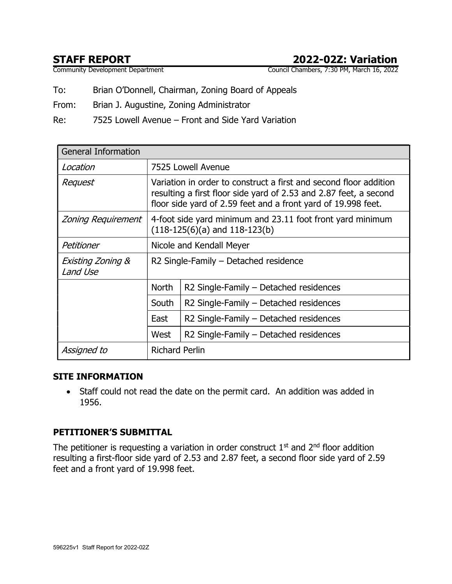# STAFF REPORT<br>
Community Development Department<br>
Council Chambers, 7:30 PM, March 16, 2022

Council Chambers, 7:30 PM, March 16, 2022

To: Brian O'Donnell, Chairman, Zoning Board of Appeals

From: Brian J. Augustine, Zoning Administrator

Re: 7525 Lowell Avenue – Front and Side Yard Variation

| <b>General Information</b>               |                                                                                                                                                                                                         |                                        |  |  |  |  |
|------------------------------------------|---------------------------------------------------------------------------------------------------------------------------------------------------------------------------------------------------------|----------------------------------------|--|--|--|--|
| Location                                 | 7525 Lowell Avenue                                                                                                                                                                                      |                                        |  |  |  |  |
| Request                                  | Variation in order to construct a first and second floor addition<br>resulting a first floor side yard of 2.53 and 2.87 feet, a second<br>floor side yard of 2.59 feet and a front yard of 19.998 feet. |                                        |  |  |  |  |
| Zoning Requirement                       | 4-foot side yard minimum and 23.11 foot front yard minimum<br>$(118-125(6)(a)$ and $118-123(b)$                                                                                                         |                                        |  |  |  |  |
| Petitioner                               | Nicole and Kendall Meyer                                                                                                                                                                                |                                        |  |  |  |  |
| <b>Existing Zoning &amp;</b><br>Land Use | R2 Single-Family - Detached residence                                                                                                                                                                   |                                        |  |  |  |  |
|                                          | <b>North</b>                                                                                                                                                                                            | R2 Single-Family - Detached residences |  |  |  |  |
|                                          | South                                                                                                                                                                                                   | R2 Single-Family - Detached residences |  |  |  |  |
|                                          | East                                                                                                                                                                                                    | R2 Single-Family – Detached residences |  |  |  |  |
|                                          | West                                                                                                                                                                                                    | R2 Single-Family - Detached residences |  |  |  |  |
| Assigned to                              | <b>Richard Perlin</b>                                                                                                                                                                                   |                                        |  |  |  |  |

#### SITE INFORMATION

• Staff could not read the date on the permit card. An addition was added in 1956.

#### PETITIONER'S SUBMITTAL

The petitioner is requesting a variation in order construct  $1<sup>st</sup>$  and  $2<sup>nd</sup>$  floor addition resulting a first-floor side yard of 2.53 and 2.87 feet, a second floor side yard of 2.59 feet and a front yard of 19.998 feet.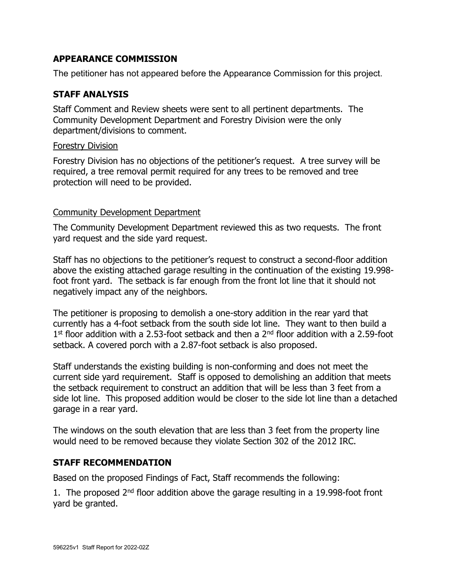#### APPEARANCE COMMISSION

The petitioner has not appeared before the Appearance Commission for this project.

## STAFF ANALYSIS

Staff Comment and Review sheets were sent to all pertinent departments. The Community Development Department and Forestry Division were the only department/divisions to comment.

#### Forestry Division

Forestry Division has no objections of the petitioner's request. A tree survey will be required, a tree removal permit required for any trees to be removed and tree protection will need to be provided.

#### Community Development Department

The Community Development Department reviewed this as two requests. The front yard request and the side yard request.

Staff has no objections to the petitioner's request to construct a second-floor addition above the existing attached garage resulting in the continuation of the existing 19.998 foot front yard. The setback is far enough from the front lot line that it should not negatively impact any of the neighbors.

The petitioner is proposing to demolish a one-story addition in the rear yard that currently has a 4-foot setback from the south side lot line. They want to then build a 1<sup>st</sup> floor addition with a 2.53-foot setback and then a 2<sup>nd</sup> floor addition with a 2.59-foot setback. A covered porch with a 2.87-foot setback is also proposed.

Staff understands the existing building is non-conforming and does not meet the current side yard requirement. Staff is opposed to demolishing an addition that meets the setback requirement to construct an addition that will be less than 3 feet from a side lot line. This proposed addition would be closer to the side lot line than a detached garage in a rear yard.

The windows on the south elevation that are less than 3 feet from the property line would need to be removed because they violate Section 302 of the 2012 IRC.

#### STAFF RECOMMENDATION

Based on the proposed Findings of Fact, Staff recommends the following:

1. The proposed  $2<sup>nd</sup>$  floor addition above the garage resulting in a 19.998-foot front yard be granted.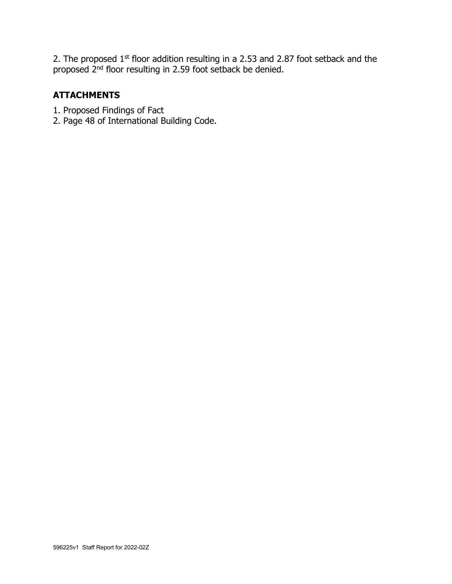2. The proposed  $1<sup>st</sup>$  floor addition resulting in a 2.53 and 2.87 foot setback and the proposed 2<sup>nd</sup> floor resulting in 2.59 foot setback be denied.

## **ATTACHMENTS**

- 1. Proposed Findings of Fact
- 2. Page 48 of International Building Code.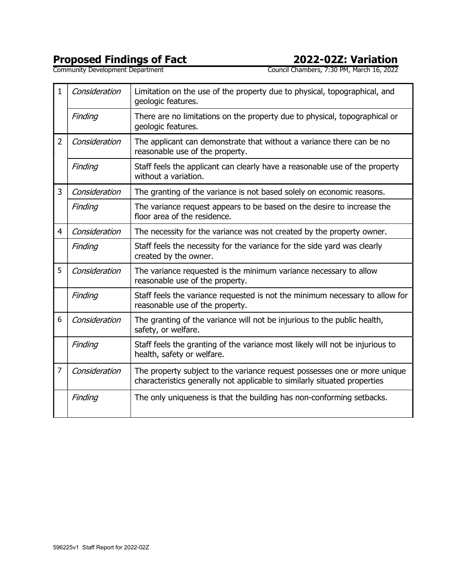# Proposed Findings of Fact 2022-02Z: Variation

Community Development Department Council Chambers, 7:30 PM, March 16, 2022

| $\mathbf{1}$   | Consideration | Limitation on the use of the property due to physical, topographical, and<br>geologic features.                                                        |  |  |  |
|----------------|---------------|--------------------------------------------------------------------------------------------------------------------------------------------------------|--|--|--|
|                | Finding       | There are no limitations on the property due to physical, topographical or<br>geologic features.                                                       |  |  |  |
| $\overline{2}$ | Consideration | The applicant can demonstrate that without a variance there can be no<br>reasonable use of the property.                                               |  |  |  |
|                | Finding       | Staff feels the applicant can clearly have a reasonable use of the property<br>without a variation.                                                    |  |  |  |
| 3              | Consideration | The granting of the variance is not based solely on economic reasons.                                                                                  |  |  |  |
|                | Finding       | The variance request appears to be based on the desire to increase the<br>floor area of the residence.                                                 |  |  |  |
| $\overline{4}$ | Consideration | The necessity for the variance was not created by the property owner.                                                                                  |  |  |  |
|                | Finding       | Staff feels the necessity for the variance for the side yard was clearly<br>created by the owner.                                                      |  |  |  |
| 5              | Consideration | The variance requested is the minimum variance necessary to allow<br>reasonable use of the property.                                                   |  |  |  |
|                | Finding       | Staff feels the variance requested is not the minimum necessary to allow for<br>reasonable use of the property.                                        |  |  |  |
| 6              | Consideration | The granting of the variance will not be injurious to the public health,<br>safety, or welfare.                                                        |  |  |  |
|                | Finding       | Staff feels the granting of the variance most likely will not be injurious to<br>health, safety or welfare.                                            |  |  |  |
| $\overline{7}$ | Consideration | The property subject to the variance request possesses one or more unique<br>characteristics generally not applicable to similarly situated properties |  |  |  |
|                | Finding       | The only uniqueness is that the building has non-conforming setbacks.                                                                                  |  |  |  |